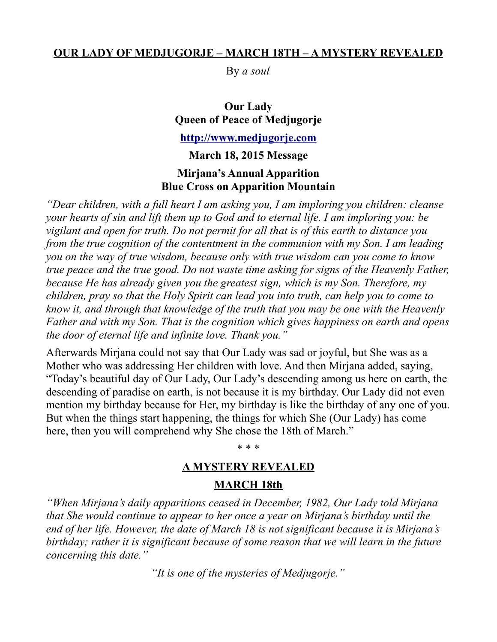### **OUR LADY OF MEDJUGORJE – MARCH 18TH – A MYSTERY REVEALED**

By *a soul*

**Our Lady Queen of Peace of Medjugorje [http://www.medjugorje.com](http://www.medjugorje.com/)**

**March 18, 2015 Message Mirjana's Annual Apparition Blue Cross on Apparition Mountain**

*"Dear children, with a full heart I am asking you, I am imploring you children: cleanse your hearts of sin and lift them up to God and to eternal life. I am imploring you: be vigilant and open for truth. Do not permit for all that is of this earth to distance you from the true cognition of the contentment in the communion with my Son. I am leading you on the way of true wisdom, because only with true wisdom can you come to know true peace and the true good. Do not waste time asking for signs of the Heavenly Father, because He has already given you the greatest sign, which is my Son. Therefore, my children, pray so that the Holy Spirit can lead you into truth, can help you to come to know it, and through that knowledge of the truth that you may be one with the Heavenly Father and with my Son. That is the cognition which gives happiness on earth and opens the door of eternal life and infinite love. Thank you."*

Afterwards Mirjana could not say that Our Lady was sad or joyful, but She was as a Mother who was addressing Her children with love. And then Mirjana added, saying, "Today's beautiful day of Our Lady, Our Lady's descending among us here on earth, the descending of paradise on earth, is not because it is my birthday. Our Lady did not even mention my birthday because for Her, my birthday is like the birthday of any one of you. But when the things start happening, the things for which She (Our Lady) has come here, then you will comprehend why She chose the 18th of March."

\* \* \*

### **A MYSTERY REVEALED**

### **MARCH 18th**

*"When Mirjana's daily apparitions ceased in December, 1982, Our Lady told Mirjana that She would continue to appear to her once a year on Mirjana's birthday until the end of her life. However, the date of March 18 is not significant because it is Mirjana's birthday; rather it is significant because of some reason that we will learn in the future concerning this date."*

*"It is one of the mysteries of Medjugorje."*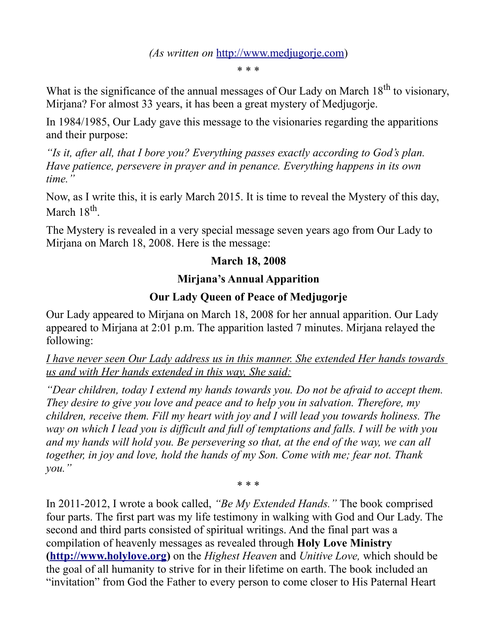### *(As written on* [http://www.medjugorje.com\)](http://www.medjugorje.com/)

\* \* \*

What is the significance of the annual messages of Our Lady on March  $18<sup>th</sup>$  to visionary, Mirjana? For almost 33 years, it has been a great mystery of Medjugorje.

In 1984/1985, Our Lady gave this message to the visionaries regarding the apparitions and their purpose:

*"Is it, after all, that I bore you? Everything passes exactly according to God's plan. Have patience, persevere in prayer and in penance. Everything happens in its own time."*

Now, as I write this, it is early March 2015. It is time to reveal the Mystery of this day, March 18<sup>th</sup>.

The Mystery is revealed in a very special message seven years ago from Our Lady to Mirjana on March 18, 2008. Here is the message:

## **March 18, 2008**

## **Mirjana's Annual Apparition**

# **Our Lady Queen of Peace of Medjugorje**

Our Lady appeared to Mirjana on March 18, 2008 for her annual apparition. Our Lady appeared to Mirjana at 2:01 p.m. The apparition lasted 7 minutes. Mirjana relayed the following:

*I have never seen Our Lady address us in this manner. She extended Her hands towards us and with Her hands extended in this way, She said:*

*"Dear children, today I extend my hands towards you. Do not be afraid to accept them. They desire to give you love and peace and to help you in salvation. Therefore, my children, receive them. Fill my heart with joy and I will lead you towards holiness. The way on which I lead you is difficult and full of temptations and falls. I will be with you and my hands will hold you. Be persevering so that, at the end of the way, we can all together, in joy and love, hold the hands of my Son. Come with me; fear not. Thank you."*

\* \* \*

In 2011-2012, I wrote a book called, *"Be My Extended Hands."* The book comprised four parts. The first part was my life testimony in walking with God and Our Lady. The second and third parts consisted of spiritual writings. And the final part was a compilation of heavenly messages as revealed through **Holy Love Ministry [\(http://www.holylove.org\)](http://www.holylove.org/)** on the *Highest Heaven* and *Unitive Love,* which should be the goal of all humanity to strive for in their lifetime on earth. The book included an "invitation" from God the Father to every person to come closer to His Paternal Heart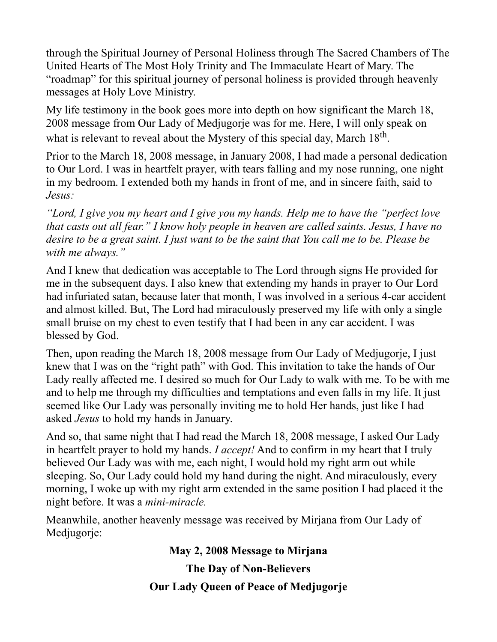through the Spiritual Journey of Personal Holiness through The Sacred Chambers of The United Hearts of The Most Holy Trinity and The Immaculate Heart of Mary. The "roadmap" for this spiritual journey of personal holiness is provided through heavenly messages at Holy Love Ministry.

My life testimony in the book goes more into depth on how significant the March 18, 2008 message from Our Lady of Medjugorje was for me. Here, I will only speak on what is relevant to reveal about the Mystery of this special day, March  $18<sup>th</sup>$ .

Prior to the March 18, 2008 message, in January 2008, I had made a personal dedication to Our Lord. I was in heartfelt prayer, with tears falling and my nose running, one night in my bedroom. I extended both my hands in front of me, and in sincere faith, said to *Jesus:*

*"Lord, I give you my heart and I give you my hands. Help me to have the "perfect love that casts out all fear." I know holy people in heaven are called saints. Jesus, I have no desire to be a great saint. I just want to be the saint that You call me to be. Please be with me always."*

And I knew that dedication was acceptable to The Lord through signs He provided for me in the subsequent days. I also knew that extending my hands in prayer to Our Lord had infuriated satan, because later that month, I was involved in a serious 4-car accident and almost killed. But, The Lord had miraculously preserved my life with only a single small bruise on my chest to even testify that I had been in any car accident. I was blessed by God.

Then, upon reading the March 18, 2008 message from Our Lady of Medjugorje, I just knew that I was on the "right path" with God. This invitation to take the hands of Our Lady really affected me. I desired so much for Our Lady to walk with me. To be with me and to help me through my difficulties and temptations and even falls in my life. It just seemed like Our Lady was personally inviting me to hold Her hands, just like I had asked *Jesus* to hold my hands in January.

And so, that same night that I had read the March 18, 2008 message, I asked Our Lady in heartfelt prayer to hold my hands. *I accept!* And to confirm in my heart that I truly believed Our Lady was with me, each night, I would hold my right arm out while sleeping. So, Our Lady could hold my hand during the night. And miraculously, every morning, I woke up with my right arm extended in the same position I had placed it the night before. It was a *mini-miracle.*

Meanwhile, another heavenly message was received by Mirjana from Our Lady of Medjugorje:

**May 2, 2008 Message to Mirjana**

**The Day of Non-Believers**

**Our Lady Queen of Peace of Medjugorje**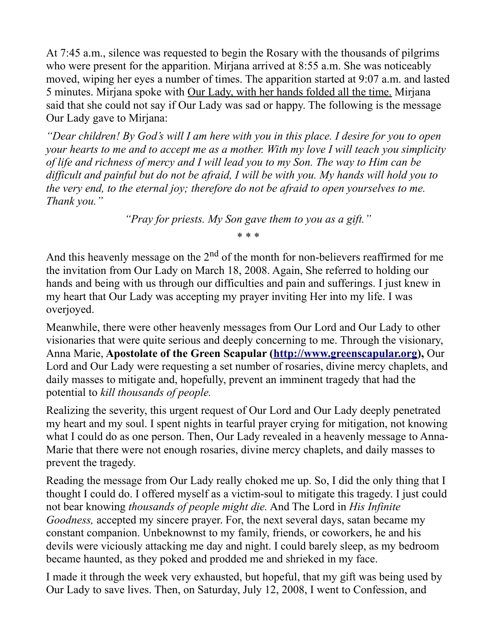At 7:45 a.m., silence was requested to begin the Rosary with the thousands of pilgrims who were present for the apparition. Mirjana arrived at 8:55 a.m. She was noticeably moved, wiping her eyes a number of times. The apparition started at 9:07 a.m. and lasted 5 minutes. Mirjana spoke with Our Lady, with her hands folded all the time. Mirjana said that she could not say if Our Lady was sad or happy. The following is the message Our Lady gave to Mirjana:

*"Dear children! By God's will I am here with you in this place. I desire for you to open your hearts to me and to accept me as a mother. With my love I will teach you simplicity of life and richness of mercy and I will lead you to my Son. The way to Him can be difficult and painful but do not be afraid, I will be with you. My hands will hold you to the very end, to the eternal joy; therefore do not be afraid to open yourselves to me. Thank you."*

*"Pray for priests. My Son gave them to you as a gift."*

\* \* \*

And this heavenly message on the  $2<sup>nd</sup>$  of the month for non-believers reaffirmed for me the invitation from Our Lady on March 18, 2008. Again, She referred to holding our hands and being with us through our difficulties and pain and sufferings. I just knew in my heart that Our Lady was accepting my prayer inviting Her into my life. I was overjoyed.

Meanwhile, there were other heavenly messages from Our Lord and Our Lady to other visionaries that were quite serious and deeply concerning to me. Through the visionary, Anna Marie, **Apostolate of the Green Scapular [\(http://www.greenscapular.org\)](http://www.greenscapular.org/),** Our Lord and Our Lady were requesting a set number of rosaries, divine mercy chaplets, and daily masses to mitigate and, hopefully, prevent an imminent tragedy that had the potential to *kill thousands of people.*

Realizing the severity, this urgent request of Our Lord and Our Lady deeply penetrated my heart and my soul. I spent nights in tearful prayer crying for mitigation, not knowing what I could do as one person. Then, Our Lady revealed in a heavenly message to Anna-Marie that there were not enough rosaries, divine mercy chaplets, and daily masses to prevent the tragedy.

Reading the message from Our Lady really choked me up. So, I did the only thing that I thought I could do. I offered myself as a victim-soul to mitigate this tragedy. I just could not bear knowing *thousands of people might die.* And The Lord in *His Infinite Goodness,* accepted my sincere prayer. For, the next several days, satan became my constant companion. Unbeknownst to my family, friends, or coworkers, he and his devils were viciously attacking me day and night. I could barely sleep, as my bedroom became haunted, as they poked and prodded me and shrieked in my face.

I made it through the week very exhausted, but hopeful, that my gift was being used by Our Lady to save lives. Then, on Saturday, July 12, 2008, I went to Confession, and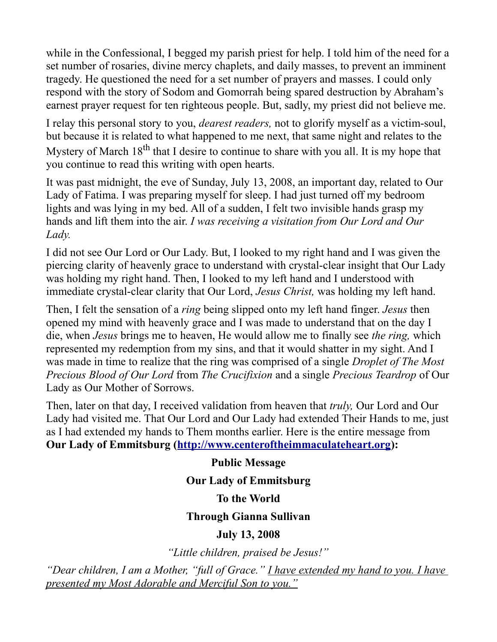while in the Confessional, I begged my parish priest for help. I told him of the need for a set number of rosaries, divine mercy chaplets, and daily masses, to prevent an imminent tragedy. He questioned the need for a set number of prayers and masses. I could only respond with the story of Sodom and Gomorrah being spared destruction by Abraham's earnest prayer request for ten righteous people. But, sadly, my priest did not believe me.

I relay this personal story to you, *dearest readers,* not to glorify myself as a victim-soul, but because it is related to what happened to me next, that same night and relates to the Mystery of March  $18<sup>th</sup>$  that I desire to continue to share with you all. It is my hope that you continue to read this writing with open hearts.

It was past midnight, the eve of Sunday, July 13, 2008, an important day, related to Our Lady of Fatima. I was preparing myself for sleep. I had just turned off my bedroom lights and was lying in my bed. All of a sudden, I felt two invisible hands grasp my hands and lift them into the air. *I was receiving a visitation from Our Lord and Our Lady.*

I did not see Our Lord or Our Lady. But, I looked to my right hand and I was given the piercing clarity of heavenly grace to understand with crystal-clear insight that Our Lady was holding my right hand. Then, I looked to my left hand and I understood with immediate crystal-clear clarity that Our Lord, *Jesus Christ,* was holding my left hand.

Then, I felt the sensation of a *ring* being slipped onto my left hand finger. *Jesus* then opened my mind with heavenly grace and I was made to understand that on the day I die, when *Jesus* brings me to heaven, He would allow me to finally see *the ring,* which represented my redemption from my sins, and that it would shatter in my sight. And I was made in time to realize that the ring was comprised of a single *Droplet of The Most Precious Blood of Our Lord* from *The Crucifixion* and a single *Precious Teardrop* of Our Lady as Our Mother of Sorrows.

Then, later on that day, I received validation from heaven that *truly,* Our Lord and Our Lady had visited me. That Our Lord and Our Lady had extended Their Hands to me, just as I had extended my hands to Them months earlier. Here is the entire message from **Our Lady of Emmitsburg [\(http://www.centeroftheimmaculateheart.org\)](http://www.centeroftheimmaculateheart.org/):**

**Public Message Our Lady of Emmitsburg To the World Through Gianna Sullivan July 13, 2008** *"Little children, praised be Jesus!"*

*"Dear children, I am a Mother, "full of Grace." I have extended my hand to you. I have presented my Most Adorable and Merciful Son to you."*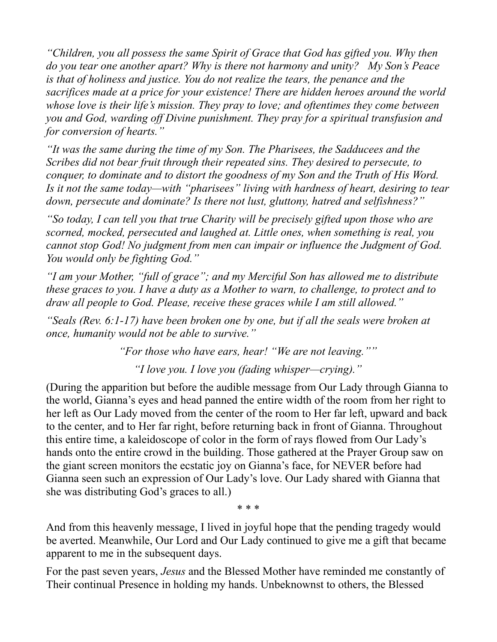*"Children, you all possess the same Spirit of Grace that God has gifted you. Why then do you tear one another apart? Why is there not harmony and unity? My Son's Peace is that of holiness and justice. You do not realize the tears, the penance and the sacrifices made at a price for your existence! There are hidden heroes around the world whose love is their life's mission. They pray to love; and oftentimes they come between you and God, warding off Divine punishment. They pray for a spiritual transfusion and for conversion of hearts."* 

*"It was the same during the time of my Son. The Pharisees, the Sadducees and the Scribes did not bear fruit through their repeated sins. They desired to persecute, to conquer, to dominate and to distort the goodness of my Son and the Truth of His Word. Is it not the same today—with "pharisees" living with hardness of heart, desiring to tear down, persecute and dominate? Is there not lust, gluttony, hatred and selfishness?"* 

*"So today, I can tell you that true Charity will be precisely gifted upon those who are scorned, mocked, persecuted and laughed at. Little ones, when something is real, you cannot stop God! No judgment from men can impair or influence the Judgment of God. You would only be fighting God."* 

*"I am your Mother, "full of grace"; and my Merciful Son has allowed me to distribute these graces to you. I have a duty as a Mother to warn, to challenge, to protect and to draw all people to God. Please, receive these graces while I am still allowed."*

*"Seals (Rev. 6:1-17) have been broken one by one, but if all the seals were broken at once, humanity would not be able to survive."* 

*"For those who have ears, hear! "We are not leaving.""*

*"I love you. I love you (fading whisper—crying)."*

(During the apparition but before the audible message from Our Lady through Gianna to the world, Gianna's eyes and head panned the entire width of the room from her right to her left as Our Lady moved from the center of the room to Her far left, upward and back to the center, and to Her far right, before returning back in front of Gianna. Throughout this entire time, a kaleidoscope of color in the form of rays flowed from Our Lady's hands onto the entire crowd in the building. Those gathered at the Prayer Group saw on the giant screen monitors the ecstatic joy on Gianna's face, for NEVER before had Gianna seen such an expression of Our Lady's love. Our Lady shared with Gianna that she was distributing God's graces to all.)

\* \* \*

And from this heavenly message, I lived in joyful hope that the pending tragedy would be averted. Meanwhile, Our Lord and Our Lady continued to give me a gift that became apparent to me in the subsequent days.

For the past seven years, *Jesus* and the Blessed Mother have reminded me constantly of Their continual Presence in holding my hands. Unbeknownst to others, the Blessed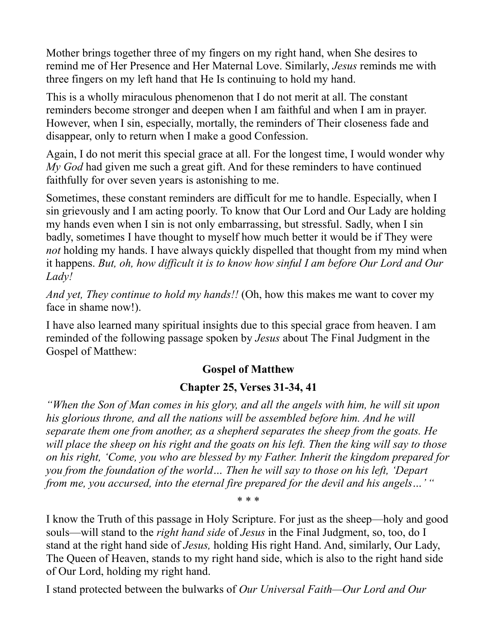Mother brings together three of my fingers on my right hand, when She desires to remind me of Her Presence and Her Maternal Love. Similarly, *Jesus* reminds me with three fingers on my left hand that He Is continuing to hold my hand.

This is a wholly miraculous phenomenon that I do not merit at all. The constant reminders become stronger and deepen when I am faithful and when I am in prayer. However, when I sin, especially, mortally, the reminders of Their closeness fade and disappear, only to return when I make a good Confession.

Again, I do not merit this special grace at all. For the longest time, I would wonder why *My God* had given me such a great gift. And for these reminders to have continued faithfully for over seven years is astonishing to me.

Sometimes, these constant reminders are difficult for me to handle. Especially, when I sin grievously and I am acting poorly. To know that Our Lord and Our Lady are holding my hands even when I sin is not only embarrassing, but stressful. Sadly, when I sin badly, sometimes I have thought to myself how much better it would be if They were *not* holding my hands. I have always quickly dispelled that thought from my mind when it happens. *But, oh, how difficult it is to know how sinful I am before Our Lord and Our Lady!*

*And yet, They continue to hold my hands!!* (Oh, how this makes me want to cover my face in shame now!).

I have also learned many spiritual insights due to this special grace from heaven. I am reminded of the following passage spoken by *Jesus* about The Final Judgment in the Gospel of Matthew:

# **Gospel of Matthew**

# **Chapter 25, Verses 31-34, 41**

*"When the Son of Man comes in his glory, and all the angels with him, he will sit upon*  his glorious throne, and all the nations will be assembled before him. And he will *separate them one from another, as a shepherd separates the sheep from the goats. He will place the sheep on his right and the goats on his left. Then the king will say to those on his right, 'Come, you who are blessed by my Father. Inherit the kingdom prepared for you from the foundation of the world… Then he will say to those on his left, 'Depart from me, you accursed, into the eternal fire prepared for the devil and his angels…' "*

\* \* \*

I know the Truth of this passage in Holy Scripture. For just as the sheep—holy and good souls—will stand to the *right hand side* of *Jesus* in the Final Judgment, so, too, do I stand at the right hand side of *Jesus,* holding His right Hand. And, similarly, Our Lady, The Queen of Heaven, stands to my right hand side, which is also to the right hand side of Our Lord, holding my right hand.

I stand protected between the bulwarks of *Our Universal Faith—Our Lord and Our*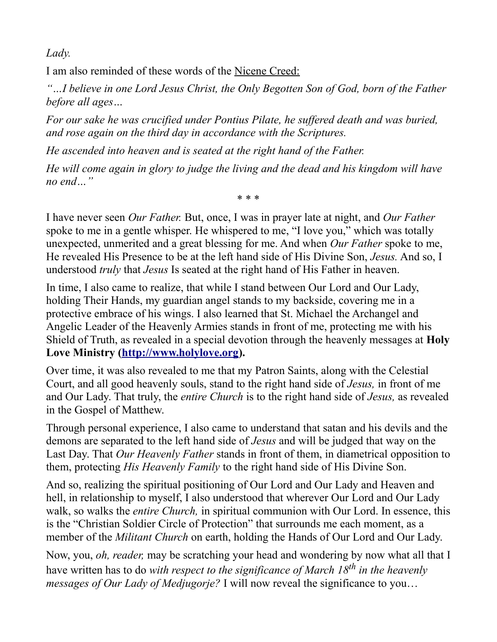*Lady.*

I am also reminded of these words of the Nicene Creed:

*"…I believe in one Lord Jesus Christ, the Only Begotten Son of God, born of the Father before all ages…*

*For our sake he was crucified under Pontius Pilate, he suffered death and was buried, and rose again on the third day in accordance with the Scriptures.*

*He ascended into heaven and is seated at the right hand of the Father.*

*He will come again in glory to judge the living and the dead and his kingdom will have no end…"*

\* \* \*

I have never seen *Our Father.* But, once, I was in prayer late at night, and *Our Father* spoke to me in a gentle whisper. He whispered to me, "I love you," which was totally unexpected, unmerited and a great blessing for me. And when *Our Father* spoke to me, He revealed His Presence to be at the left hand side of His Divine Son, *Jesus.* And so, I understood *truly* that *Jesus* Is seated at the right hand of His Father in heaven.

In time, I also came to realize, that while I stand between Our Lord and Our Lady, holding Their Hands, my guardian angel stands to my backside, covering me in a protective embrace of his wings. I also learned that St. Michael the Archangel and Angelic Leader of the Heavenly Armies stands in front of me, protecting me with his Shield of Truth, as revealed in a special devotion through the heavenly messages at **Holy Love Ministry [\(http://www.holylove.org\)](http://www.holylove.org/).**

Over time, it was also revealed to me that my Patron Saints, along with the Celestial Court, and all good heavenly souls, stand to the right hand side of *Jesus,* in front of me and Our Lady. That truly, the *entire Church* is to the right hand side of *Jesus,* as revealed in the Gospel of Matthew.

Through personal experience, I also came to understand that satan and his devils and the demons are separated to the left hand side of *Jesus* and will be judged that way on the Last Day. That *Our Heavenly Father* stands in front of them, in diametrical opposition to them, protecting *His Heavenly Family* to the right hand side of His Divine Son.

And so, realizing the spiritual positioning of Our Lord and Our Lady and Heaven and hell, in relationship to myself, I also understood that wherever Our Lord and Our Lady walk, so walks the *entire Church,* in spiritual communion with Our Lord. In essence, this is the "Christian Soldier Circle of Protection" that surrounds me each moment, as a member of the *Militant Church* on earth, holding the Hands of Our Lord and Our Lady.

Now, you, *oh, reader,* may be scratching your head and wondering by now what all that I have written has to do *with respect to the significance of March 18th in the heavenly messages of Our Lady of Medjugorje?* I will now reveal the significance to you…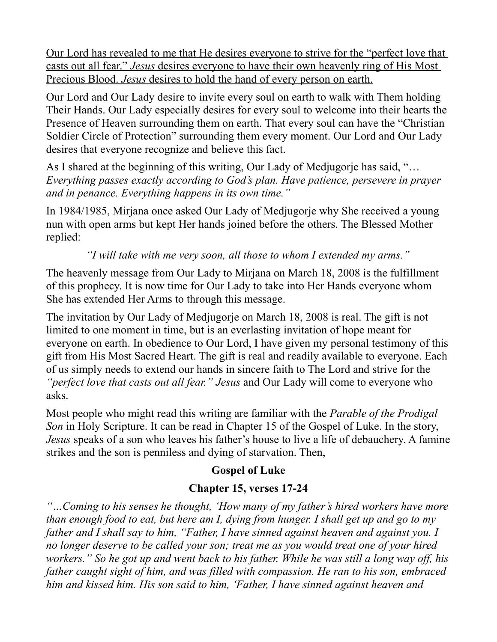Our Lord has revealed to me that He desires everyone to strive for the "perfect love that casts out all fear." *Jesus* desires everyone to have their own heavenly ring of His Most Precious Blood. *Jesus* desires to hold the hand of every person on earth.

Our Lord and Our Lady desire to invite every soul on earth to walk with Them holding Their Hands. Our Lady especially desires for every soul to welcome into their hearts the Presence of Heaven surrounding them on earth. That every soul can have the "Christian Soldier Circle of Protection" surrounding them every moment. Our Lord and Our Lady desires that everyone recognize and believe this fact.

As I shared at the beginning of this writing, Our Lady of Medjugorje has said, "… *Everything passes exactly according to God's plan. Have patience, persevere in prayer and in penance. Everything happens in its own time."*

In 1984/1985, Mirjana once asked Our Lady of Medjugorje why She received a young nun with open arms but kept Her hands joined before the others. The Blessed Mother replied:

*"I will take with me very soon, all those to whom I extended my arms."*

The heavenly message from Our Lady to Mirjana on March 18, 2008 is the fulfillment of this prophecy. It is now time for Our Lady to take into Her Hands everyone whom She has extended Her Arms to through this message.

The invitation by Our Lady of Medjugorje on March 18, 2008 is real. The gift is not limited to one moment in time, but is an everlasting invitation of hope meant for everyone on earth. In obedience to Our Lord, I have given my personal testimony of this gift from His Most Sacred Heart. The gift is real and readily available to everyone. Each of us simply needs to extend our hands in sincere faith to The Lord and strive for the *"perfect love that casts out all fear." Jesus* and Our Lady will come to everyone who asks.

Most people who might read this writing are familiar with the *Parable of the Prodigal Son* in Holy Scripture. It can be read in Chapter 15 of the Gospel of Luke. In the story, *Jesus* speaks of a son who leaves his father's house to live a life of debauchery. A famine strikes and the son is penniless and dying of starvation. Then,

# **Gospel of Luke**

# **Chapter 15, verses 17-24**

*"…Coming to his senses he thought, 'How many of my father's hired workers have more than enough food to eat, but here am I, dying from hunger. I shall get up and go to my father and I shall say to him, "Father, I have sinned against heaven and against you. I no longer deserve to be called your son; treat me as you would treat one of your hired workers." So he got up and went back to his father. While he was still a long way off, his father caught sight of him, and was filled with compassion. He ran to his son, embraced him and kissed him. His son said to him, 'Father, I have sinned against heaven and*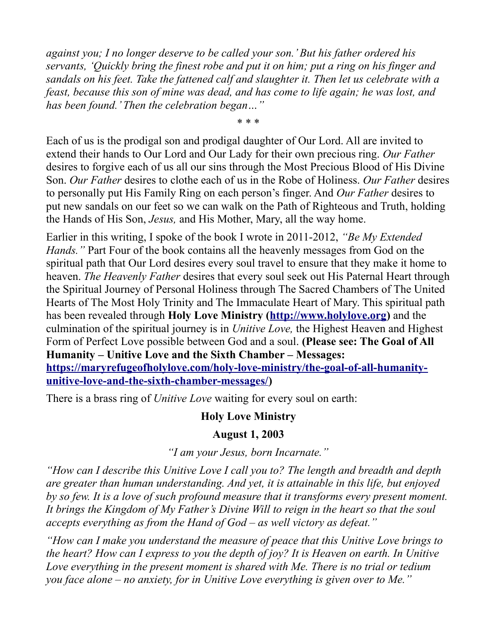*against you; I no longer deserve to be called your son.' But his father ordered his servants, 'Quickly bring the finest robe and put it on him; put a ring on his finger and sandals on his feet. Take the fattened calf and slaughter it. Then let us celebrate with a feast, because this son of mine was dead, and has come to life again; he was lost, and has been found.' Then the celebration began…"*

Each of us is the prodigal son and prodigal daughter of Our Lord. All are invited to extend their hands to Our Lord and Our Lady for their own precious ring. *Our Father* desires to forgive each of us all our sins through the Most Precious Blood of His Divine Son. *Our Father* desires to clothe each of us in the Robe of Holiness. *Our Father* desires to personally put His Family Ring on each person's finger. And *Our Father* desires to put new sandals on our feet so we can walk on the Path of Righteous and Truth, holding the Hands of His Son, *Jesus,* and His Mother, Mary, all the way home.

\* \* \*

Earlier in this writing, I spoke of the book I wrote in 2011-2012, *"Be My Extended Hands."* Part Four of the book contains all the heavenly messages from God on the spiritual path that Our Lord desires every soul travel to ensure that they make it home to heaven. *The Heavenly Father* desires that every soul seek out His Paternal Heart through the Spiritual Journey of Personal Holiness through The Sacred Chambers of The United Hearts of The Most Holy Trinity and The Immaculate Heart of Mary. This spiritual path has been revealed through **Holy Love Ministry [\(http://www.holylove.org\)](http://www.holylove.org/)** and the culmination of the spiritual journey is in *Unitive Love,* the Highest Heaven and Highest Form of Perfect Love possible between God and a soul. **(Please see: The Goal of All Humanity – Unitive Love and the Sixth Chamber – Messages: [https://maryrefugeofholylove.com/holy-love-ministry/the-goal-of-all-humanity](https://maryrefugeofholylove.com/holy-love-ministry/the-goal-of-all-humanity-unitive-love-and-the-sixth-chamber-messages/)[unitive-love-and-the-sixth-chamber-messages/\)](https://maryrefugeofholylove.com/holy-love-ministry/the-goal-of-all-humanity-unitive-love-and-the-sixth-chamber-messages/)**

There is a brass ring of *Unitive Love* waiting for every soul on earth:

## **Holy Love Ministry**

## **August 1, 2003**

*"I am your Jesus, born Incarnate."*

*"How can I describe this Unitive Love I call you to? The length and breadth and depth are greater than human understanding. And yet, it is attainable in this life, but enjoyed by so few. It is a love of such profound measure that it transforms every present moment. It brings the Kingdom of My Father's Divine Will to reign in the heart so that the soul accepts everything as from the Hand of God – as well victory as defeat."*

*"How can I make you understand the measure of peace that this Unitive Love brings to the heart? How can I express to you the depth of joy? It is Heaven on earth. In Unitive Love everything in the present moment is shared with Me. There is no trial or tedium you face alone – no anxiety, for in Unitive Love everything is given over to Me."*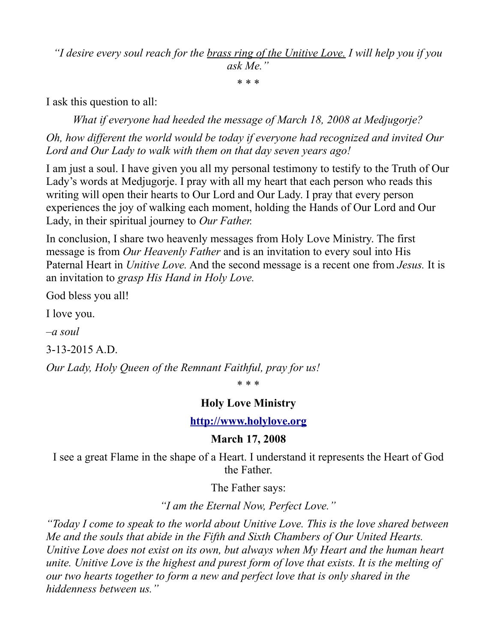*"I desire every soul reach for the brass ring of the Unitive Love. I will help you if you ask Me."*

\* \* \*

I ask this question to all:

*What if everyone had heeded the message of March 18, 2008 at Medjugorje? Oh, how different the world would be today if everyone had recognized and invited Our Lord and Our Lady to walk with them on that day seven years ago!*

I am just a soul. I have given you all my personal testimony to testify to the Truth of Our Lady's words at Medjugorje. I pray with all my heart that each person who reads this writing will open their hearts to Our Lord and Our Lady. I pray that every person experiences the joy of walking each moment, holding the Hands of Our Lord and Our Lady, in their spiritual journey to *Our Father.*

In conclusion, I share two heavenly messages from Holy Love Ministry. The first message is from *Our Heavenly Father* and is an invitation to every soul into His Paternal Heart in *Unitive Love.* And the second message is a recent one from *Jesus.* It is an invitation to *grasp His Hand in Holy Love.*

God bless you all!

I love you.

*–a soul*

3-13-2015 A.D.

*Our Lady, Holy Queen of the Remnant Faithful, pray for us!*

\* \* \*

#### **Holy Love Ministry**

**[http://www.holylove.org](http://www.holylove.org/)**

#### **March 17, 2008**

I see a great Flame in the shape of a Heart. I understand it represents the Heart of God the Father.

The Father says:

*"I am the Eternal Now, Perfect Love."*

*"Today I come to speak to the world about Unitive Love. This is the love shared between Me and the souls that abide in the Fifth and Sixth Chambers of Our United Hearts. Unitive Love does not exist on its own, but always when My Heart and the human heart unite. Unitive Love is the highest and purest form of love that exists. It is the melting of our two hearts together to form a new and perfect love that is only shared in the hiddenness between us."*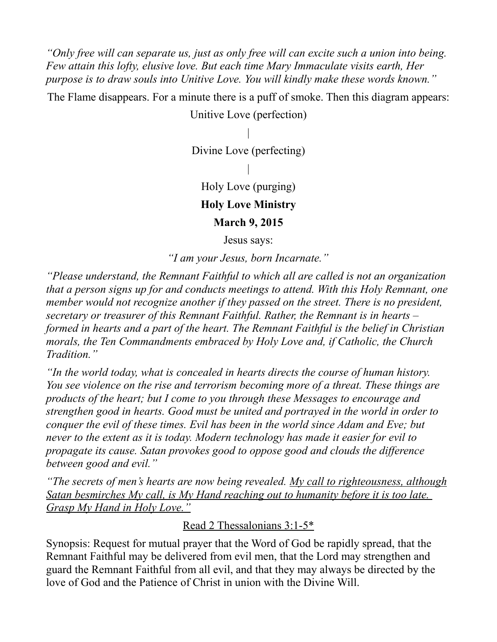*"Only free will can separate us, just as only free will can excite such a union into being. Few attain this lofty, elusive love. But each time Mary Immaculate visits earth, Her purpose is to draw souls into Unitive Love. You will kindly make these words known."*

The Flame disappears. For a minute there is a puff of smoke. Then this diagram appears:

Unitive Love (perfection)

|

Divine Love (perfecting)

Holy Love (purging)

|

**Holy Love Ministry**

**March 9, 2015**

Jesus says:

*"I am your Jesus, born Incarnate."*

*"Please understand, the Remnant Faithful to which all are called is not an organization that a person signs up for and conducts meetings to attend. With this Holy Remnant, one member would not recognize another if they passed on the street. There is no president, secretary or treasurer of this Remnant Faithful. Rather, the Remnant is in hearts – formed in hearts and a part of the heart. The Remnant Faithful is the belief in Christian morals, the Ten Commandments embraced by Holy Love and, if Catholic, the Church Tradition."*

*"In the world today, what is concealed in hearts directs the course of human history. You see violence on the rise and terrorism becoming more of a threat. These things are products of the heart; but I come to you through these Messages to encourage and strengthen good in hearts. Good must be united and portrayed in the world in order to conquer the evil of these times. Evil has been in the world since Adam and Eve; but never to the extent as it is today. Modern technology has made it easier for evil to propagate its cause. Satan provokes good to oppose good and clouds the difference between good and evil."*

*"The secrets of men's hearts are now being revealed. My call to righteousness, although Satan besmirches My call, is My Hand reaching out to humanity before it is too late. Grasp My Hand in Holy Love."*

Read 2 Thessalonians 3:1-5\*

Synopsis: Request for mutual prayer that the Word of God be rapidly spread, that the Remnant Faithful may be delivered from evil men, that the Lord may strengthen and guard the Remnant Faithful from all evil, and that they may always be directed by the love of God and the Patience of Christ in union with the Divine Will.